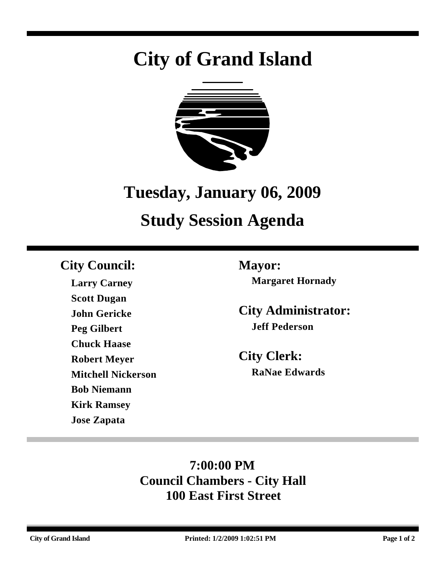# **City of Grand Island**



## **Tuesday, January 06, 2009**

## **Study Session Agenda**

## **City Council: Mayor:**

**Larry Carney Scott Dugan John Gericke Peg Gilbert Chuck Haase Robert Meyer Mitchell Nickerson Bob Niemann Kirk Ramsey Jose Zapata**

**Margaret Hornady**

**City Administrator: Jeff Pederson**

**City Clerk: RaNae Edwards**

## **7:00:00 PM Council Chambers - City Hall 100 East First Street**